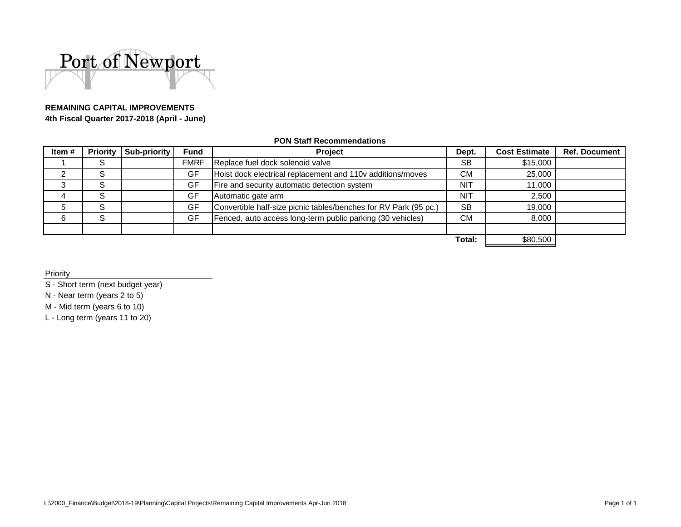

# **REMAINING CAPITAL IMPROVEMENTS**

**4th Fiscal Quarter 2017-2018 (April - June)**

#### **PON Staff Recommendations**

| Item# |        | <b>Priority   Sub-priority</b> | <b>Fund</b> | Project                                                          | Dept.      | <b>Cost Estimate</b> | <b>Ref. Document</b> |
|-------|--------|--------------------------------|-------------|------------------------------------------------------------------|------------|----------------------|----------------------|
|       | S      |                                | <b>FMRF</b> | Replace fuel dock solenoid valve                                 | <b>SB</b>  | \$15,000             |                      |
|       | S      |                                | GF          | Hoist dock electrical replacement and 110v additions/moves       | <b>CM</b>  | 25,000               |                      |
| 3     | S      |                                | GF          | Fire and security automatic detection system                     | NIT        | 11,000               |                      |
| 4     | S      |                                | GF          | Automatic gate arm                                               | <b>NIT</b> | 2,500                |                      |
| 5     | S      |                                | GF          | Convertible half-size picnic tables/benches for RV Park (95 pc.) | <b>SB</b>  | 19.000               |                      |
| 6     | c<br>C |                                | GF          | Fenced, auto access long-term public parking (30 vehicles)       | CM.        | 8.000                |                      |
|       |        |                                |             |                                                                  |            |                      |                      |
|       |        |                                |             |                                                                  | Total:     | \$80,500             |                      |

Priority

S - Short term (next budget year)

N - Near term (years 2 to 5)

M - Mid term (years 6 to 10)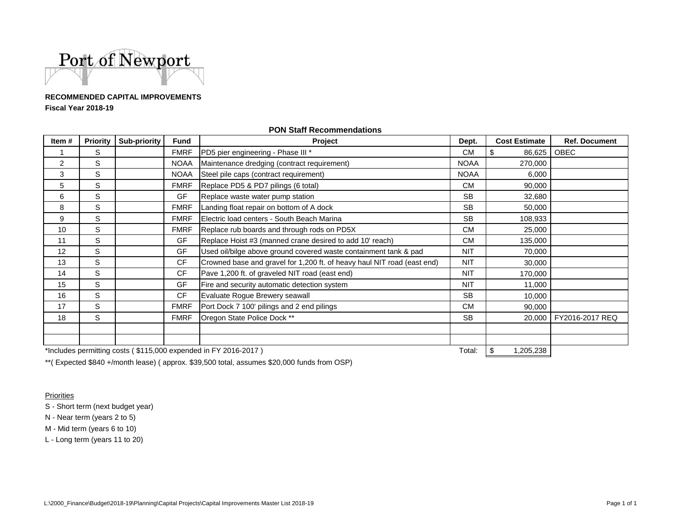

### **RECOMMENDED CAPITAL IMPROVEMENTSFiscal Year 2018-19**

| Item#                                                           | Priority | Sub-priority | <b>Fund</b> | Project                                                                 | Dept.       | <b>Cost Estimate</b> | <b>Ref. Document</b> |
|-----------------------------------------------------------------|----------|--------------|-------------|-------------------------------------------------------------------------|-------------|----------------------|----------------------|
|                                                                 | S        |              | <b>FMRF</b> | PD5 pier engineering - Phase III *                                      | <b>CM</b>   | \$<br>86,625         | OBEC                 |
| 2                                                               | S        |              | NOAA        | Maintenance dredging (contract requirement)                             | <b>NOAA</b> | 270,000              |                      |
| 3                                                               | S        |              | <b>NOAA</b> | Steel pile caps (contract requirement)                                  | <b>NOAA</b> | 6,000                |                      |
| 5                                                               | S        |              | <b>FMRF</b> | Replace PD5 & PD7 pilings (6 total)                                     | CM.         | 90,000               |                      |
| 6                                                               | S        |              | <b>GF</b>   | Replace waste water pump station                                        | <b>SB</b>   | 32,680               |                      |
| 8                                                               | S        |              | <b>FMRF</b> | Landing float repair on bottom of A dock                                | <b>SB</b>   | 50,000               |                      |
| 9                                                               | S        |              | <b>FMRF</b> | Electric load centers - South Beach Marina                              | <b>SB</b>   | 108,933              |                      |
| 10                                                              | S        |              | <b>FMRF</b> | Replace rub boards and through rods on PD5X                             | CM.         | 25,000               |                      |
| 11                                                              | S        |              | GF          | Replace Hoist #3 (manned crane desired to add 10' reach)                | <b>CM</b>   | 135,000              |                      |
| 12                                                              | S        |              | GF          | Used oil/bilge above ground covered waste containment tank & pad        | <b>NIT</b>  | 70,000               |                      |
| 13                                                              | S        |              | <b>CF</b>   | Crowned base and gravel for 1,200 ft. of heavy haul NIT road (east end) | <b>NIT</b>  | 30,000               |                      |
| 14                                                              | S        |              | <b>CF</b>   | Pave 1,200 ft. of graveled NIT road (east end)                          | <b>NIT</b>  | 170,000              |                      |
| 15                                                              | S        |              | GF          | Fire and security automatic detection system                            | <b>NIT</b>  | 11,000               |                      |
| 16                                                              | S        |              | <b>CF</b>   | Evaluate Rogue Brewery seawall                                          | <b>SB</b>   | 10,000               |                      |
| 17                                                              | S        |              | <b>FMRF</b> | Port Dock 7 100' pilings and 2 end pilings                              | <b>CM</b>   | 90,000               |                      |
| 18                                                              | S        |              | <b>FMRF</b> | Oregon State Police Dock **                                             | <b>SB</b>   | 20,000               | FY2016-2017 REQ      |
|                                                                 |          |              |             |                                                                         |             |                      |                      |
|                                                                 |          |              |             |                                                                         |             |                      |                      |
| *Includes permitting costs (\$115,000 expended in FY 2016-2017) |          |              |             |                                                                         | Total:      | 1,205,238            |                      |

#### **PON Staff Recommendations**

\*\*( Expected \$840 +/month lease) ( approx. \$39,500 total, assumes \$20,000 funds from OSP)

Priorities

S - Short term (next budget year)

N - Near term (years 2 to 5)

M - Mid term (years 6 to 10)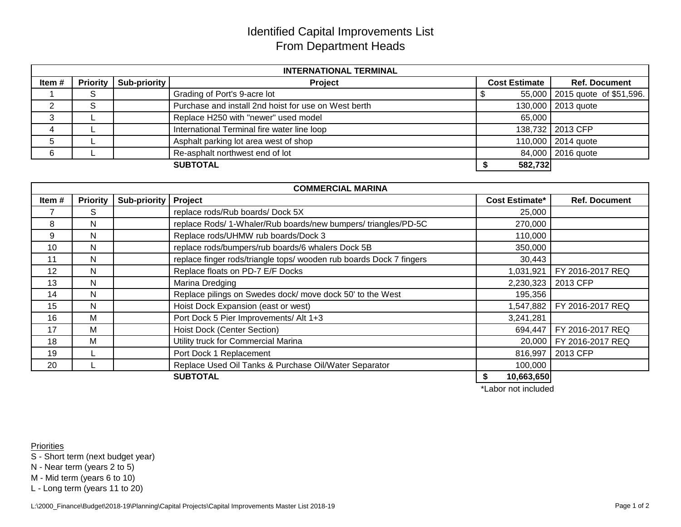## Identified Capital Improvements List From Department Heads

| <b>INTERNATIONAL TERMINAL</b> |                 |              |                                                      |                      |                                |  |
|-------------------------------|-----------------|--------------|------------------------------------------------------|----------------------|--------------------------------|--|
| Item#                         | <b>Priority</b> | Sub-priority | <b>Project</b>                                       | <b>Cost Estimate</b> | <b>Ref. Document</b>           |  |
|                               | S               |              | Grading of Port's 9-acre lot                         |                      | 55,000 2015 quote of \$51,596. |  |
|                               | e               |              | Purchase and install 2nd hoist for use on West berth |                      | 130,000 2013 quote             |  |
|                               |                 |              | Replace H250 with "newer" used model                 | 65,000               |                                |  |
| 4                             |                 |              | International Terminal fire water line loop          |                      | 138,732 2013 CFP               |  |
| 5                             |                 |              | Asphalt parking lot area west of shop                |                      | 110,000 2014 quote             |  |
|                               |                 |              | Re-asphalt northwest end of lot                      |                      | 84,000 2016 quote              |  |
|                               | 582,732         |              |                                                      |                      |                                |  |

|                                    | <b>COMMERCIAL MARINA</b> |                     |                                                                     |                       |                           |  |  |
|------------------------------------|--------------------------|---------------------|---------------------------------------------------------------------|-----------------------|---------------------------|--|--|
| Item#                              | <b>Priority</b>          | <b>Sub-priority</b> | Project                                                             | <b>Cost Estimate*</b> | <b>Ref. Document</b>      |  |  |
|                                    | S                        |                     | replace rods/Rub boards/Dock 5X                                     | 25,000                |                           |  |  |
| 8                                  | N                        |                     | replace Rods/ 1-Whaler/Rub boards/new bumpers/ triangles/PD-5C      | 270,000               |                           |  |  |
| 9                                  | N                        |                     | Replace rods/UHMW rub boards/Dock 3                                 | 110,000               |                           |  |  |
| 10                                 | N                        |                     | replace rods/bumpers/rub boards/6 whalers Dock 5B                   | 350,000               |                           |  |  |
| 11                                 | N                        |                     | replace finger rods/triangle tops/ wooden rub boards Dock 7 fingers | 30,443                |                           |  |  |
| 12                                 | N                        |                     | Replace floats on PD-7 E/F Docks                                    | 1,031,921             | FY 2016-2017 REQ          |  |  |
| 13                                 | N                        |                     | Marina Dredging                                                     | 2,230,323             | 2013 CFP                  |  |  |
| 14                                 | N.                       |                     | Replace pilings on Swedes dock/move dock 50' to the West            | 195,356               |                           |  |  |
| 15                                 | N                        |                     | Hoist Dock Expansion (east or west)                                 | 1,547,882             | FY 2016-2017 REQ          |  |  |
| 16                                 | M                        |                     | Port Dock 5 Pier Improvements/ Alt 1+3                              | 3,241,281             |                           |  |  |
| 17                                 | м                        |                     | <b>Hoist Dock (Center Section)</b>                                  | 694,447               | FY 2016-2017 REQ          |  |  |
| 18                                 | м                        |                     | Utility truck for Commercial Marina                                 |                       | 20,000   FY 2016-2017 REQ |  |  |
| 19                                 |                          |                     | Port Dock 1 Replacement                                             | 816,997               | 2013 CFP                  |  |  |
| 20                                 |                          |                     | Replace Used Oil Tanks & Purchase Oil/Water Separator               | 100,000               |                           |  |  |
| <b>SUBTOTAL</b><br>10,663,650<br>S |                          |                     |                                                                     |                       |                           |  |  |
|                                    |                          |                     |                                                                     | *Labor not included   |                           |  |  |

**Priorities** 

S - Short term (next budget year)

N - Near term (years 2 to 5)

M - Mid term (years 6 to 10)